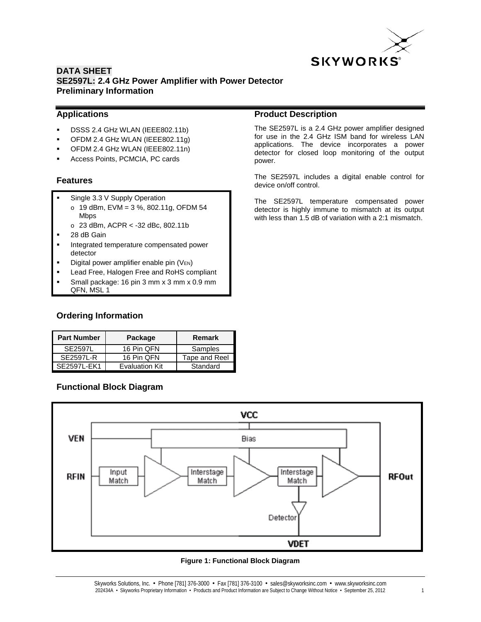

#### **Applications**

- DSSS 2.4 GHz WLAN (IEEE802.11b)
- OFDM 2.4 GHz WLAN (IEEE802.11g)
- OFDM 2.4 GHz WLAN (IEEE802.11n)
- Access Points, PCMCIA, PC cards

#### **Features**

- Single 3.3 V Supply Operation
	- o 19 dBm, EVM = 3 %, 802.11g, OFDM 54 Mbps
	- $o$  23 dBm, ACPR < -32 dBc, 802.11b
- 28 dB Gain
- Integrated temperature compensated power detector
- Digital power amplifier enable pin (VEN)
- Lead Free, Halogen Free and RoHS compliant
- Small package: 16 pin 3 mm x 3 mm x 0.9 mm
- QFN, MSL 1

# **Ordering Information**

| <b>Part Number</b> | Package               | Remark        |
|--------------------|-----------------------|---------------|
| <b>SE2597L</b>     | 16 Pin QFN            | Samples       |
| <b>SE2597L-R</b>   | 16 Pin QFN            | Tape and Reel |
| SE2597L-FK1        | <b>Evaluation Kit</b> | Standard      |

# **Functional Block Diagram**

#### **Product Description**

The SE2597L is a 2.4 GHz power amplifier designed for use in the 2.4 GHz ISM band for wireless LAN applications. The device incorporates a power detector for closed loop monitoring of the output power.

The SE2597L includes a digital enable control for device on/off control.

The SE2597L temperature compensated power detector is highly immune to mismatch at its output with less than 1.5 dB of variation with a 2:1 mismatch.



#### **Figure 1: Functional Block Diagram**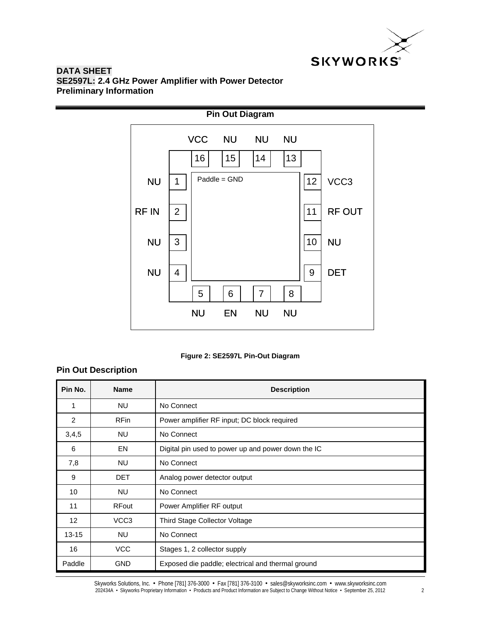



#### **Figure 2: SE2597L Pin-Out Diagram**

# **Pin Out Description**

| Pin No.   | <b>Name</b>      | <b>Description</b>                                 |
|-----------|------------------|----------------------------------------------------|
| 1         | <b>NU</b>        | No Connect                                         |
| 2         | <b>RFin</b>      | Power amplifier RF input; DC block required        |
| 3,4,5     | <b>NU</b>        | No Connect                                         |
| 6         | EN               | Digital pin used to power up and power down the IC |
| 7,8       | <b>NU</b>        | No Connect                                         |
| 9         | <b>DET</b>       | Analog power detector output                       |
| 10        | <b>NU</b>        | No Connect                                         |
| 11        | <b>RFout</b>     | Power Amplifier RF output                          |
| 12        | VCC <sub>3</sub> | Third Stage Collector Voltage                      |
| $13 - 15$ | <b>NU</b>        | No Connect                                         |
| 16        | <b>VCC</b>       | Stages 1, 2 collector supply                       |
| Paddle    | <b>GND</b>       | Exposed die paddle; electrical and thermal ground  |

Skyworks Solutions, Inc. • Phone [781] 376-3000 • Fax [781] 376-3100 • sales@skyworksinc.com • www.skyworksinc.com 202434A • Skyworks Proprietary Information • Products and Product Information are Subject to Change Without Notice • September 25, 2012 2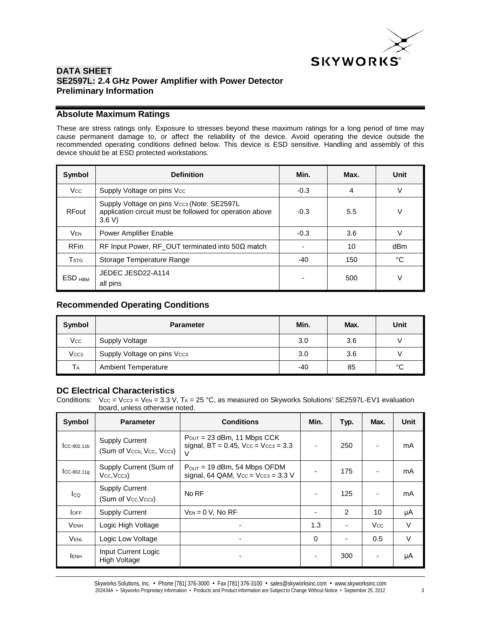

#### **Absolute Maximum Ratings**

These are stress ratings only. Exposure to stresses beyond these maximum ratings for a long period of time may cause permanent damage to, or affect the reliability of the device. Avoid operating the device outside the recommended operating conditions defined below. This device is ESD sensitive. Handling and assembly of this device should be at ESD protected workstations.

| Symbol             | <b>Definition</b>                                                                                                            | Min.   | Max. | Unit   |
|--------------------|------------------------------------------------------------------------------------------------------------------------------|--------|------|--------|
| <b>Vcc</b>         | Supply Voltage on pins Vcc                                                                                                   | $-0.3$ | 4    | $\vee$ |
| <b>RFout</b>       | Supply Voltage on pins Vcc <sub>3</sub> (Note: SE2597L)<br>application circuit must be followed for operation above<br>3.6 V | $-0.3$ | 5.5  |        |
| <b>VEN</b>         | <b>Power Amplifier Enable</b>                                                                                                | $-0.3$ | 3.6  |        |
| <b>RFin</b>        | RF Input Power, RF_OUT terminated into $50\Omega$ match                                                                      |        | 10   | dBm    |
| <b>T</b> stg       | Storage Temperature Range                                                                                                    | $-40$  | 150  | °C     |
| ESD <sub>HBM</sub> | JEDEC JESD22-A114<br>all pins                                                                                                |        | 500  |        |

## **Recommended Operating Conditions**

| Symbol           | <b>Parameter</b>                        | Min. | Max. | Unit |
|------------------|-----------------------------------------|------|------|------|
| Vcc              | Supply Voltage                          | 3.0  | 3.6  |      |
| Vcc <sub>3</sub> | Supply Voltage on pins Vcc <sub>3</sub> | 3.0  | 3.6  |      |
| TA               | <b>Ambient Temperature</b>              | -40  | 85   | °C   |

#### **DC Electrical Characteristics**

Conditions:  $V_{CC} = V_{CC3} = V_{EN} = 3.3 V$ , TA = 25 °C, as measured on Skyworks Solutions' SE2597L-EV1 evaluation board, unless otherwise noted.

| Symbol          | <b>Parameter</b>                                  | <b>Conditions</b>                                                                       | Min.                     | Typ.           | Max.       | Unit   |
|-----------------|---------------------------------------------------|-----------------------------------------------------------------------------------------|--------------------------|----------------|------------|--------|
| $CC-802.11b$    | <b>Supply Current</b><br>(Sum of Vcco, Vcc, Vcc3) | $P_{\text{OUT}} = 23$ dBm, 11 Mbps CCK<br>signal, $BT = 0.45$ , $Vcc = Vcc3 = 3.3$<br>v | $\overline{\phantom{a}}$ | 250            |            | mA     |
| $ICC-802.11q$   | Supply Current (Sum of<br>Vcc, Vcc <sub>3</sub>   | $P_{OUT}$ = 19 dBm, 54 Mbps OFDM<br>signal, 64 QAM, $Vec = Vec3 = 3.3 V$                |                          | 175            |            | mA     |
| $I_{\text{CQ}}$ | <b>Supply Current</b><br>(Sum of Vcc, Vcc3)       | No RF                                                                                   | $\overline{\phantom{a}}$ | 125            |            | mA     |
| <b>OFF</b>      | <b>Supply Current</b>                             | $V_{EN} = 0 V$ , No RF                                                                  | ٠                        | $\mathfrak{p}$ | 10         | μA     |
| <b>VENH</b>     | Logic High Voltage                                |                                                                                         | 1.3                      |                | <b>Vcc</b> | $\vee$ |
| VENL            | Logic Low Voltage                                 |                                                                                         | $\Omega$                 |                | 0.5        | $\vee$ |
| <b>LENH</b>     | <b>Input Current Logic</b><br>High Voltage        |                                                                                         |                          | 300            |            | μA     |

Skyworks Solutions, Inc. • Phone [781] 376-3000 • Fax [781] 376-3100 • sales@skyworksinc.com • www.skyworksinc.com 202434A • Skyworks Proprietary Information • Products and Product Information are Subject to Change Without Notice • September 25, 2012 3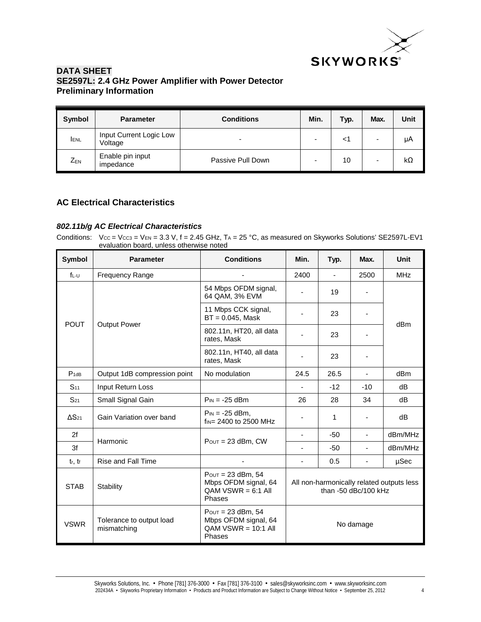

| Symbol     | <b>Parameter</b>                   | <b>Conditions</b>        | Min.                     | Typ. | Max. | Unit |
|------------|------------------------------------|--------------------------|--------------------------|------|------|------|
| <b>ENL</b> | Input Current Logic Low<br>Voltage | $\overline{\phantom{0}}$ | $\overline{\phantom{0}}$ |      | -    | μA   |
| $Z_{EN}$   | Enable pin input<br>impedance      | Passive Pull Down        |                          | 10   | -    | kΩ   |

## **AC Electrical Characteristics**

#### *802.11b/g AC Electrical Characteristics*

Conditions:  $Vcc = Vcc = V$  = 3.3 V, f = 2.45 GHz, TA = 25 °C, as measured on Skyworks Solutions' SE2597L-EV1 evaluation board, unless otherwise noted

| Symbol          | <b>Parameter</b>                        | <b>Conditions</b>                                                                 | Min.                                                                | Typ.  | Max.                     | <b>Unit</b>     |
|-----------------|-----------------------------------------|-----------------------------------------------------------------------------------|---------------------------------------------------------------------|-------|--------------------------|-----------------|
| $f_{L-U}$       | <b>Frequency Range</b>                  |                                                                                   | 2400                                                                |       | 2500                     | <b>MHz</b>      |
|                 |                                         | 54 Mbps OFDM signal,<br>64 QAM, 3% EVM                                            |                                                                     | 19    | ٠                        |                 |
| <b>POUT</b>     |                                         | 11 Mbps CCK signal,<br>$BT = 0.045$ , Mask                                        |                                                                     | 23    |                          |                 |
|                 | <b>Output Power</b>                     | 802.11n, HT20, all data<br>rates, Mask                                            |                                                                     | 23    |                          | dBm             |
|                 |                                         | 802.11n, HT40, all data<br>rates, Mask                                            |                                                                     | 23    |                          |                 |
| $P_{1dB}$       | Output 1dB compression point            | No modulation                                                                     | 24.5                                                                | 26.5  | $\blacksquare$           | dB <sub>m</sub> |
| S <sub>11</sub> | Input Return Loss                       |                                                                                   |                                                                     | $-12$ | $-10$                    | dB              |
| $S_{21}$        | Small Signal Gain                       | $P_{IN} = -25$ dBm                                                                | 26                                                                  | 28    | 34                       | dB              |
| $\Delta S_{21}$ | Gain Variation over band                | $P_{IN} = -25$ dBm.<br>$f_{IN} = 2400$ to 2500 MHz                                |                                                                     | 1     | $\overline{\phantom{a}}$ | dB              |
| 2f              | Harmonic                                | $P_{OUT} = 23$ dBm, CW                                                            |                                                                     | $-50$ | $\blacksquare$           | dBm/MHz         |
| 3f              |                                         |                                                                                   | $\overline{\phantom{0}}$                                            | $-50$ | Ξ.                       | dBm/MHz         |
| tr, tr          | Rise and Fall Time                      |                                                                                   | $\overline{\phantom{a}}$                                            | 0.5   | $\overline{\phantom{a}}$ | µSec            |
| <b>STAB</b>     | Stability                               | $P_{OUT} = 23$ dBm, 54<br>Mbps OFDM signal, 64<br>$OAM VSWR = 6:1$ All<br>Phases  | All non-harmonically related outputs less<br>than $-50$ dBc/100 kHz |       |                          |                 |
| <b>VSWR</b>     | Tolerance to output load<br>mismatching | $P_{OUT} = 23$ dBm, 54<br>Mbps OFDM signal, 64<br>$QAM VSWR = 10:1$ All<br>Phases | No damage                                                           |       |                          |                 |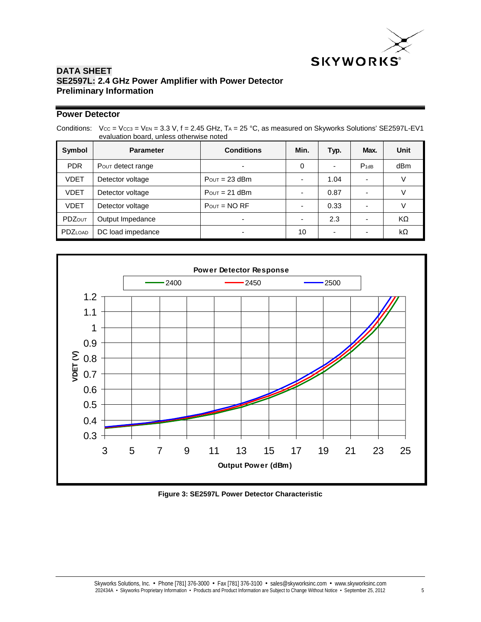

# **Power Detector**

Conditions:  $Vcc = Vcc = V_{EN} = 3.3 V$ , f = 2.45 GHz, T<sub>A</sub> = 25 °C, as measured on Skyworks Solutions' SE2597L-EV1 evaluation board, unless otherwise noted

| Symbol        | <b>Parameter</b>  | <b>Conditions</b>         | Min. | Typ.                     | Max.      | Unit      |
|---------------|-------------------|---------------------------|------|--------------------------|-----------|-----------|
| <b>PDR</b>    | Pour detect range |                           | 0    | $\overline{\phantom{a}}$ | $P_{1dB}$ | dBm       |
| <b>VDET</b>   | Detector voltage  | $P_{\text{OUT}} = 23$ dBm |      | 1.04                     |           |           |
| <b>VDET</b>   | Detector voltage  | $P_{\text{OUT}} = 21$ dBm |      | 0.87                     |           |           |
| <b>VDET</b>   | Detector voltage  | $P_{OUT} = NO RF$         |      | 0.33                     |           |           |
| <b>PDZOUT</b> | Output Impedance  |                           |      | 2.3                      | -         | KΩ        |
| PDZLOAD       | DC load impedance |                           | 10   | $\overline{\phantom{a}}$ |           | $k\Omega$ |



**Figure 3: SE2597L Power Detector Characteristic**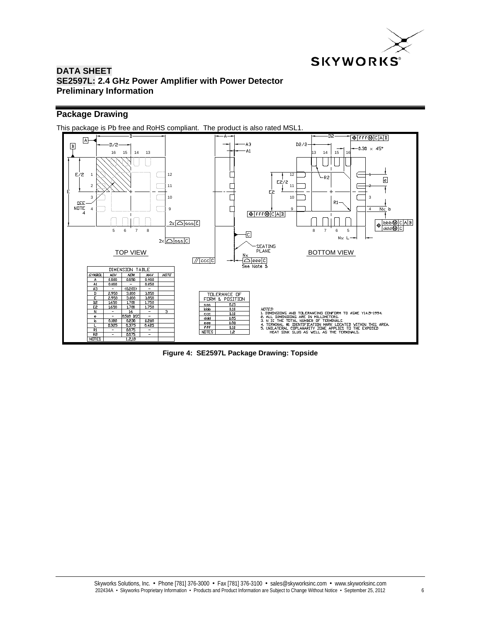

# **Package Drawing**



**Figure 4: SE2597L Package Drawing: Topside**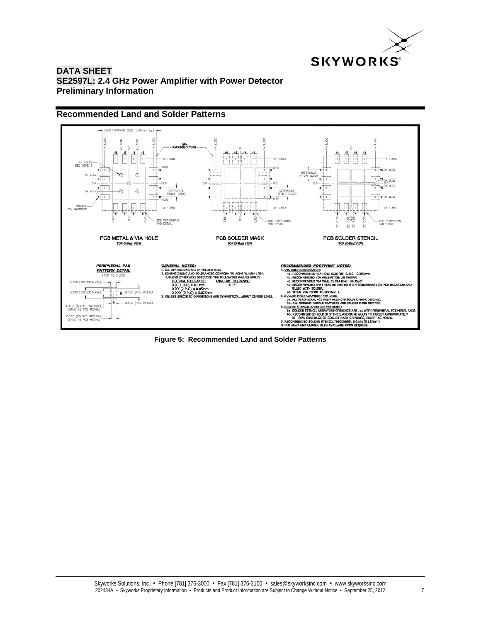

#### **Recommended Land and Solder Patterns**



**Figure 5: Recommended Land and Solder Patterns**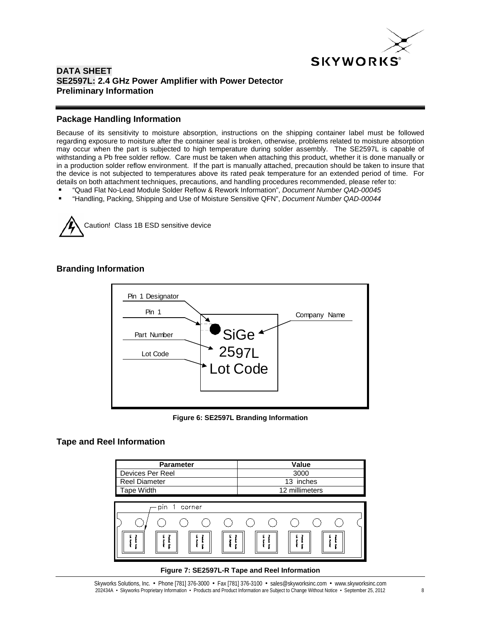

# **Package Handling Information**

Because of its sensitivity to moisture absorption, instructions on the shipping container label must be followed regarding exposure to moisture after the container seal is broken, otherwise, problems related to moisture absorption may occur when the part is subjected to high temperature during solder assembly. The SE2597L is capable of withstanding a Pb free solder reflow. Care must be taken when attaching this product, whether it is done manually or in a production solder reflow environment. If the part is manually attached, precaution should be taken to insure that the device is not subjected to temperatures above its rated peak temperature for an extended period of time. For details on both attachment techniques, precautions, and handling procedures recommended, please refer to:

- "Quad Flat No-Lead Module Solder Reflow & Rework Information", *Document Number QAD-00045*
- "Handling, Packing, Shipping and Use of Moisture Sensitive QFN", *Document Number QAD-00044*



## **Branding Information**



**Figure 6: SE2597L Branding Information**

#### **Tape and Reel Information**

| <b>Parameter</b>                                                                                     | Value                                                                         |  |  |
|------------------------------------------------------------------------------------------------------|-------------------------------------------------------------------------------|--|--|
| Devices Per Reel                                                                                     | 3000                                                                          |  |  |
| <b>Reel Diameter</b>                                                                                 | 13 inches                                                                     |  |  |
| Tape Width                                                                                           | 12 millimeters                                                                |  |  |
|                                                                                                      |                                                                               |  |  |
| pin 1<br>corner                                                                                      |                                                                               |  |  |
|                                                                                                      |                                                                               |  |  |
| Product Cox<br>Product Cor<br>Product Co<br>Lot Num<br>Product<br>Lot Num<br>Lot Numb<br>à<br>Ĩ<br>g | Product<br>Product<br>Lot Numb<br>Lot Num<br>Product Co<br>Lot Numb<br>g<br>g |  |  |

#### **Figure 7: SE2597L-R Tape and Reel Information**